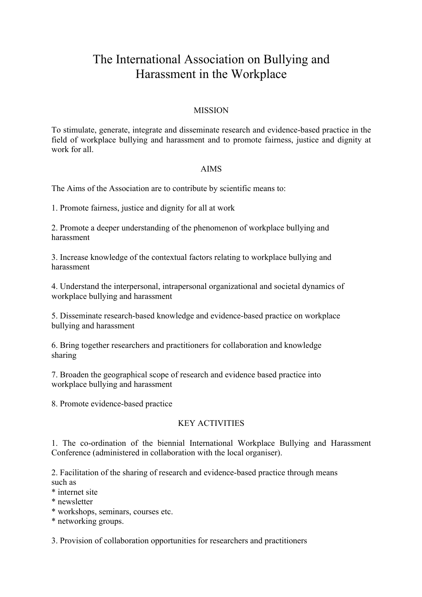# The International Association on Bullying and Harassment in the Workplace

# MISSION

To stimulate, generate, integrate and disseminate research and evidence-based practice in the field of workplace bullying and harassment and to promote fairness, justice and dignity at work for all.

#### AIMS

The Aims of the Association are to contribute by scientific means to:

1. Promote fairness, justice and dignity for all at work

2. Promote a deeper understanding of the phenomenon of workplace bullying and harassment

3. Increase knowledge of the contextual factors relating to workplace bullying and harassment

4. Understand the interpersonal, intrapersonal organizational and societal dynamics of workplace bullying and harassment

5. Disseminate research-based knowledge and evidence-based practice on workplace bullying and harassment

6. Bring together researchers and practitioners for collaboration and knowledge sharing

7. Broaden the geographical scope of research and evidence based practice into workplace bullying and harassment

8. Promote evidence-based practice

# KEY ACTIVITIES

1. The co-ordination of the biennial International Workplace Bullying and Harassment Conference (administered in collaboration with the local organiser).

2. Facilitation of the sharing of research and evidence-based practice through means such as

\* internet site

\* newsletter

\* workshops, seminars, courses etc.

\* networking groups.

3. Provision of collaboration opportunities for researchers and practitioners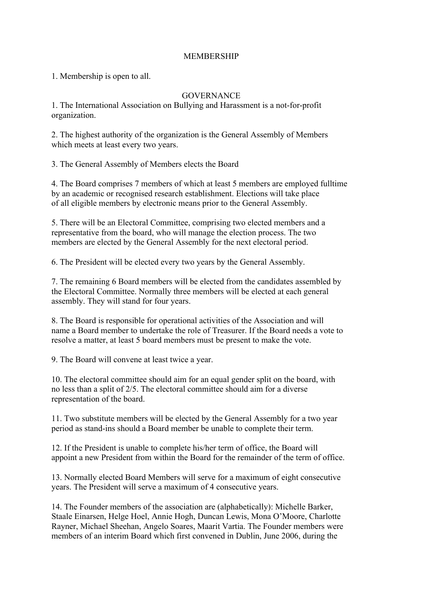# MEMBERSHIP

1. Membership is open to all.

# GOVERNANCE

1. The International Association on Bullying and Harassment is a not-for-profit organization.

2. The highest authority of the organization is the General Assembly of Members which meets at least every two years.

3. The General Assembly of Members elects the Board

4. The Board comprises 7 members of which at least 5 members are employed fulltime by an academic or recognised research establishment. Elections will take place of all eligible members by electronic means prior to the General Assembly.

5. There will be an Electoral Committee, comprising two elected members and a representative from the board, who will manage the election process. The two members are elected by the General Assembly for the next electoral period.

6. The President will be elected every two years by the General Assembly.

7. The remaining 6 Board members will be elected from the candidates assembled by the Electoral Committee. Normally three members will be elected at each general assembly. They will stand for four years.

8. The Board is responsible for operational activities of the Association and will name a Board member to undertake the role of Treasurer. If the Board needs a vote to resolve a matter, at least 5 board members must be present to make the vote.

9. The Board will convene at least twice a year.

10. The electoral committee should aim for an equal gender split on the board, with no less than a split of 2/5. The electoral committee should aim for a diverse representation of the board.

11. Two substitute members will be elected by the General Assembly for a two year period as stand-ins should a Board member be unable to complete their term.

12. If the President is unable to complete his/her term of office, the Board will appoint a new President from within the Board for the remainder of the term of office.

13. Normally elected Board Members will serve for a maximum of eight consecutive years. The President will serve a maximum of 4 consecutive years.

14. The Founder members of the association are (alphabetically): Michelle Barker, Staale Einarsen, Helge Hoel, Annie Hogh, Duncan Lewis, Mona O'Moore, Charlotte Rayner, Michael Sheehan, Angelo Soares, Maarit Vartia. The Founder members were members of an interim Board which first convened in Dublin, June 2006, during the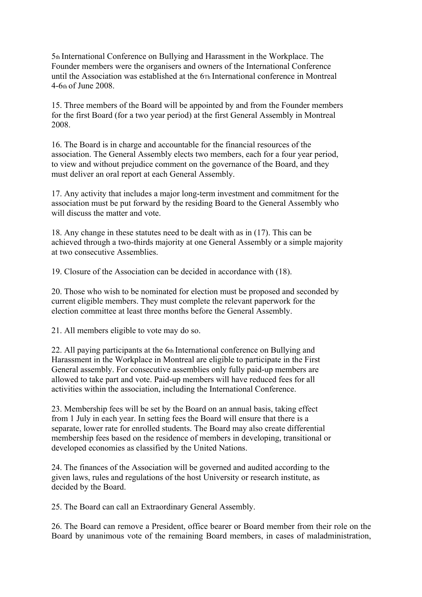5th International Conference on Bullying and Harassment in the Workplace. The Founder members were the organisers and owners of the International Conference until the Association was established at the 6Th International conference in Montreal 4-6th of June 2008.

15. Three members of the Board will be appointed by and from the Founder members for the first Board (for a two year period) at the first General Assembly in Montreal 2008.

16. The Board is in charge and accountable for the financial resources of the association. The General Assembly elects two members, each for a four year period, to view and without prejudice comment on the governance of the Board, and they must deliver an oral report at each General Assembly.

17. Any activity that includes a major long-term investment and commitment for the association must be put forward by the residing Board to the General Assembly who will discuss the matter and vote.

18. Any change in these statutes need to be dealt with as in (17). This can be achieved through a two-thirds majority at one General Assembly or a simple majority at two consecutive Assemblies.

19. Closure of the Association can be decided in accordance with (18).

20. Those who wish to be nominated for election must be proposed and seconded by current eligible members. They must complete the relevant paperwork for the election committee at least three months before the General Assembly.

21. All members eligible to vote may do so.

22. All paying participants at the 6th International conference on Bullying and Harassment in the Workplace in Montreal are eligible to participate in the First General assembly. For consecutive assemblies only fully paid-up members are allowed to take part and vote. Paid-up members will have reduced fees for all activities within the association, including the International Conference.

23. Membership fees will be set by the Board on an annual basis, taking effect from 1 July in each year. In setting fees the Board will ensure that there is a separate, lower rate for enrolled students. The Board may also create differential membership fees based on the residence of members in developing, transitional or developed economies as classified by the United Nations.

24. The finances of the Association will be governed and audited according to the given laws, rules and regulations of the host University or research institute, as decided by the Board.

25. The Board can call an Extraordinary General Assembly.

26. The Board can remove a President, office bearer or Board member from their role on the Board by unanimous vote of the remaining Board members, in cases of maladministration,